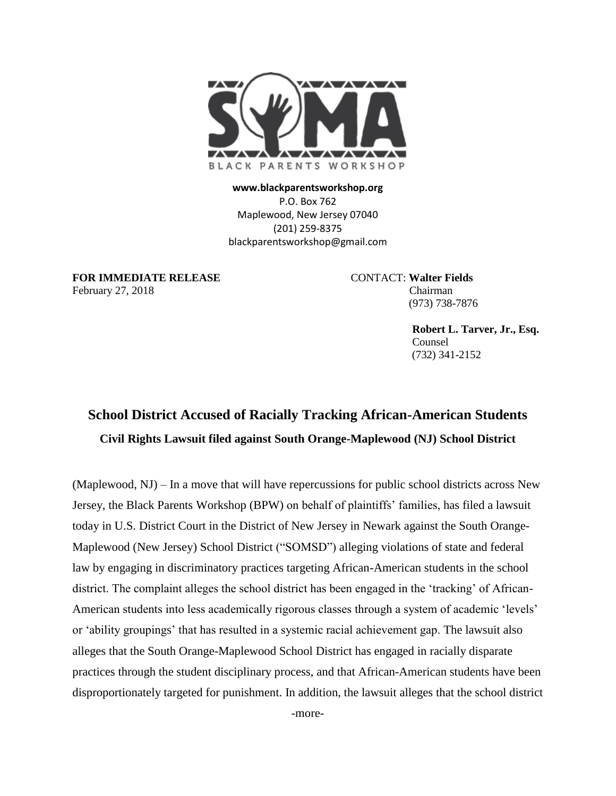

**www.blackparentsworkshop.org** P.O. Box 762 Maplewood, New Jersey 07040 (201) 259-8375 blackparentsworkshop@gmail.com

**FOR IMMEDIATE RELEASE** CONTACT: **Walter Fields** February 27, 2018 Chairman

(973) 738-7876

 **Robert L. Tarver, Jr., Esq.** Counsel (732) 341-2152

## **School District Accused of Racially Tracking African-American Students Civil Rights Lawsuit filed against South Orange-Maplewood (NJ) School District**

(Maplewood, NJ) – In a move that will have repercussions for public school districts across New Jersey, the Black Parents Workshop (BPW) on behalf of plaintiffs' families, has filed a lawsuit today in U.S. District Court in the District of New Jersey in Newark against the South Orange-Maplewood (New Jersey) School District ("SOMSD") alleging violations of state and federal law by engaging in discriminatory practices targeting African-American students in the school district. The complaint alleges the school district has been engaged in the 'tracking' of African-American students into less academically rigorous classes through a system of academic 'levels' or 'ability groupings' that has resulted in a systemic racial achievement gap. The lawsuit also alleges that the South Orange-Maplewood School District has engaged in racially disparate practices through the student disciplinary process, and that African-American students have been disproportionately targeted for punishment. In addition, the lawsuit alleges that the school district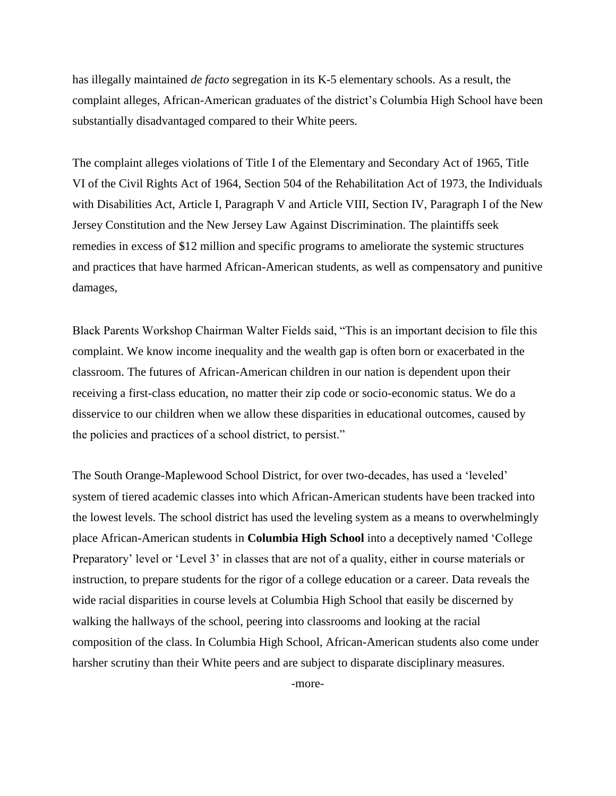has illegally maintained *de facto* segregation in its K-5 elementary schools. As a result, the complaint alleges, African-American graduates of the district's Columbia High School have been substantially disadvantaged compared to their White peers.

The complaint alleges violations of Title I of the Elementary and Secondary Act of 1965, Title VI of the Civil Rights Act of 1964, Section 504 of the Rehabilitation Act of 1973, the Individuals with Disabilities Act, Article I, Paragraph V and Article VIII, Section IV, Paragraph I of the New Jersey Constitution and the New Jersey Law Against Discrimination. The plaintiffs seek remedies in excess of \$12 million and specific programs to ameliorate the systemic structures and practices that have harmed African-American students, as well as compensatory and punitive damages,

Black Parents Workshop Chairman Walter Fields said, "This is an important decision to file this complaint. We know income inequality and the wealth gap is often born or exacerbated in the classroom. The futures of African-American children in our nation is dependent upon their receiving a first-class education, no matter their zip code or socio-economic status. We do a disservice to our children when we allow these disparities in educational outcomes, caused by the policies and practices of a school district, to persist."

The South Orange-Maplewood School District, for over two-decades, has used a 'leveled' system of tiered academic classes into which African-American students have been tracked into the lowest levels. The school district has used the leveling system as a means to overwhelmingly place African-American students in **Columbia High School** into a deceptively named 'College Preparatory' level or 'Level 3' in classes that are not of a quality, either in course materials or instruction, to prepare students for the rigor of a college education or a career. Data reveals the wide racial disparities in course levels at Columbia High School that easily be discerned by walking the hallways of the school, peering into classrooms and looking at the racial composition of the class. In Columbia High School, African-American students also come under harsher scrutiny than their White peers and are subject to disparate disciplinary measures.

-more-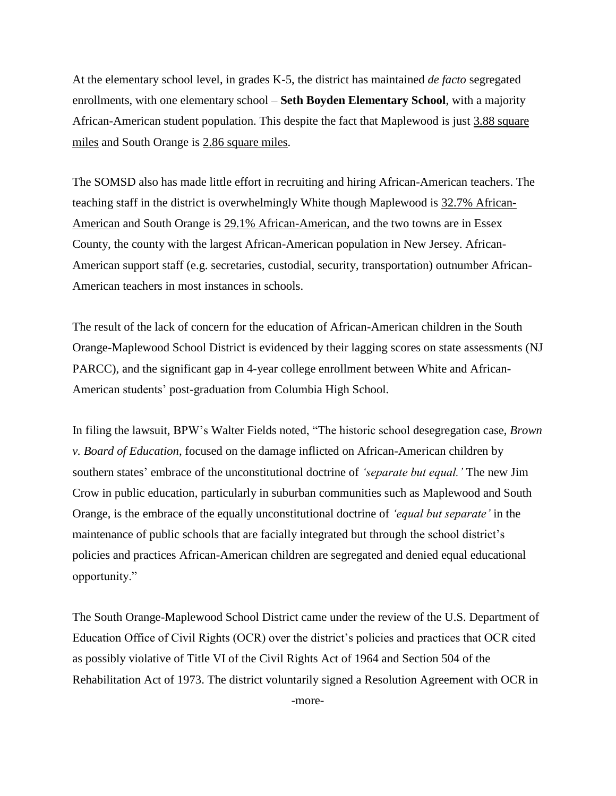At the elementary school level, in grades K-5, the district has maintained *de facto* segregated enrollments, with one elementary school – **Seth Boyden Elementary School**, with a majority African-American student population. This despite the fact that Maplewood is just 3.88 square miles and South Orange is 2.86 square miles.

The SOMSD also has made little effort in recruiting and hiring African-American teachers. The teaching staff in the district is overwhelmingly White though Maplewood is 32.7% African-American and South Orange is 29.1% African-American, and the two towns are in Essex County, the county with the largest African-American population in New Jersey. African-American support staff (e.g. secretaries, custodial, security, transportation) outnumber African-American teachers in most instances in schools.

The result of the lack of concern for the education of African-American children in the South Orange-Maplewood School District is evidenced by their lagging scores on state assessments (NJ PARCC), and the significant gap in 4-year college enrollment between White and African-American students' post-graduation from Columbia High School.

In filing the lawsuit, BPW's Walter Fields noted, "The historic school desegregation case, *Brown v. Board of Education*, focused on the damage inflicted on African-American children by southern states' embrace of the unconstitutional doctrine of *'separate but equal.'* The new Jim Crow in public education, particularly in suburban communities such as Maplewood and South Orange, is the embrace of the equally unconstitutional doctrine of *'equal but separate'* in the maintenance of public schools that are facially integrated but through the school district's policies and practices African-American children are segregated and denied equal educational opportunity."

The South Orange-Maplewood School District came under the review of the U.S. Department of Education Office of Civil Rights (OCR) over the district's policies and practices that OCR cited as possibly violative of Title VI of the Civil Rights Act of 1964 and Section 504 of the Rehabilitation Act of 1973. The district voluntarily signed a Resolution Agreement with OCR in -more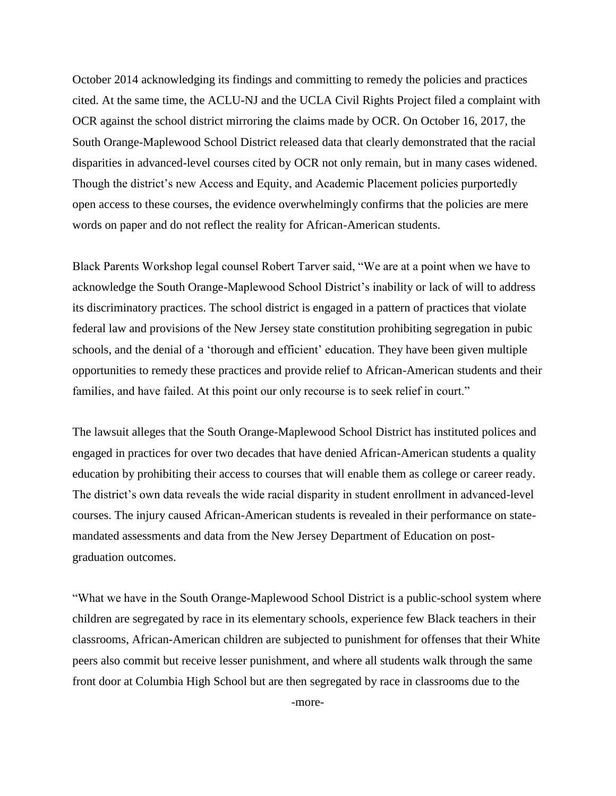October 2014 acknowledging its findings and committing to remedy the policies and practices cited. At the same time, the ACLU-NJ and the UCLA Civil Rights Project filed a complaint with OCR against the school district mirroring the claims made by OCR. On October 16, 2017, the South Orange-Maplewood School District released data that clearly demonstrated that the racial disparities in advanced-level courses cited by OCR not only remain, but in many cases widened. Though the district's new Access and Equity, and Academic Placement policies purportedly open access to these courses, the evidence overwhelmingly confirms that the policies are mere words on paper and do not reflect the reality for African-American students.

Black Parents Workshop legal counsel Robert Tarver said, "We are at a point when we have to acknowledge the South Orange-Maplewood School District's inability or lack of will to address its discriminatory practices. The school district is engaged in a pattern of practices that violate federal law and provisions of the New Jersey state constitution prohibiting segregation in pubic schools, and the denial of a 'thorough and efficient' education. They have been given multiple opportunities to remedy these practices and provide relief to African-American students and their families, and have failed. At this point our only recourse is to seek relief in court."

The lawsuit alleges that the South Orange-Maplewood School District has instituted polices and engaged in practices for over two decades that have denied African-American students a quality education by prohibiting their access to courses that will enable them as college or career ready. The district's own data reveals the wide racial disparity in student enrollment in advanced-level courses. The injury caused African-American students is revealed in their performance on statemandated assessments and data from the New Jersey Department of Education on postgraduation outcomes.

"What we have in the South Orange-Maplewood School District is a public-school system where children are segregated by race in its elementary schools, experience few Black teachers in their classrooms, African-American children are subjected to punishment for offenses that their White peers also commit but receive lesser punishment, and where all students walk through the same front door at Columbia High School but are then segregated by race in classrooms due to the

-more-